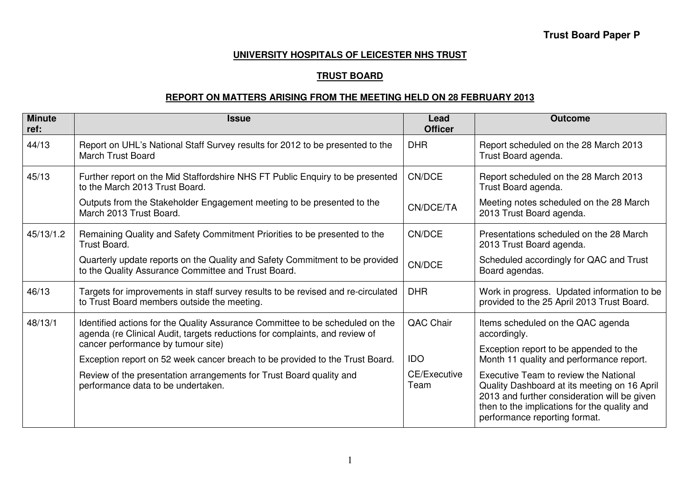#### **UNIVERSITY HOSPITALS OF LEICESTER NHS TRUST**

### **TRUST BOARD**

## **REPORT ON MATTERS ARISING FROM THE MEETING HELD ON 28 FEBRUARY 2013**

| <b>Minute</b><br>ref: | <b>Issue</b>                                                                                                                                                                                                                                                                       | Lead<br><b>Officer</b> | <b>Outcome</b>                                                                                                                                                                                                         |
|-----------------------|------------------------------------------------------------------------------------------------------------------------------------------------------------------------------------------------------------------------------------------------------------------------------------|------------------------|------------------------------------------------------------------------------------------------------------------------------------------------------------------------------------------------------------------------|
| 44/13                 | Report on UHL's National Staff Survey results for 2012 to be presented to the<br><b>March Trust Board</b>                                                                                                                                                                          | <b>DHR</b>             | Report scheduled on the 28 March 2013<br>Trust Board agenda.                                                                                                                                                           |
| 45/13                 | Further report on the Mid Staffordshire NHS FT Public Enquiry to be presented<br>to the March 2013 Trust Board.                                                                                                                                                                    | CN/DCE                 | Report scheduled on the 28 March 2013<br>Trust Board agenda.                                                                                                                                                           |
|                       | Outputs from the Stakeholder Engagement meeting to be presented to the<br>March 2013 Trust Board.                                                                                                                                                                                  | CN/DCE/TA              | Meeting notes scheduled on the 28 March<br>2013 Trust Board agenda.                                                                                                                                                    |
| 45/13/1.2             | Remaining Quality and Safety Commitment Priorities to be presented to the<br><b>Trust Board.</b>                                                                                                                                                                                   | CN/DCE                 | Presentations scheduled on the 28 March<br>2013 Trust Board agenda.                                                                                                                                                    |
|                       | Quarterly update reports on the Quality and Safety Commitment to be provided<br>to the Quality Assurance Committee and Trust Board.                                                                                                                                                | CN/DCE                 | Scheduled accordingly for QAC and Trust<br>Board agendas.                                                                                                                                                              |
| 46/13                 | Targets for improvements in staff survey results to be revised and re-circulated<br>to Trust Board members outside the meeting.                                                                                                                                                    | <b>DHR</b>             | Work in progress. Updated information to be<br>provided to the 25 April 2013 Trust Board.                                                                                                                              |
| 48/13/1               | Identified actions for the Quality Assurance Committee to be scheduled on the<br>agenda (re Clinical Audit, targets reductions for complaints, and review of<br>cancer performance by tumour site)<br>Exception report on 52 week cancer breach to be provided to the Trust Board. | QAC Chair              | Items scheduled on the QAC agenda<br>accordingly.                                                                                                                                                                      |
|                       |                                                                                                                                                                                                                                                                                    | <b>IDO</b>             | Exception report to be appended to the<br>Month 11 quality and performance report.                                                                                                                                     |
|                       | Review of the presentation arrangements for Trust Board quality and<br>performance data to be undertaken.                                                                                                                                                                          | CE/Executive<br>Team   | Executive Team to review the National<br>Quality Dashboard at its meeting on 16 April<br>2013 and further consideration will be given<br>then to the implications for the quality and<br>performance reporting format. |